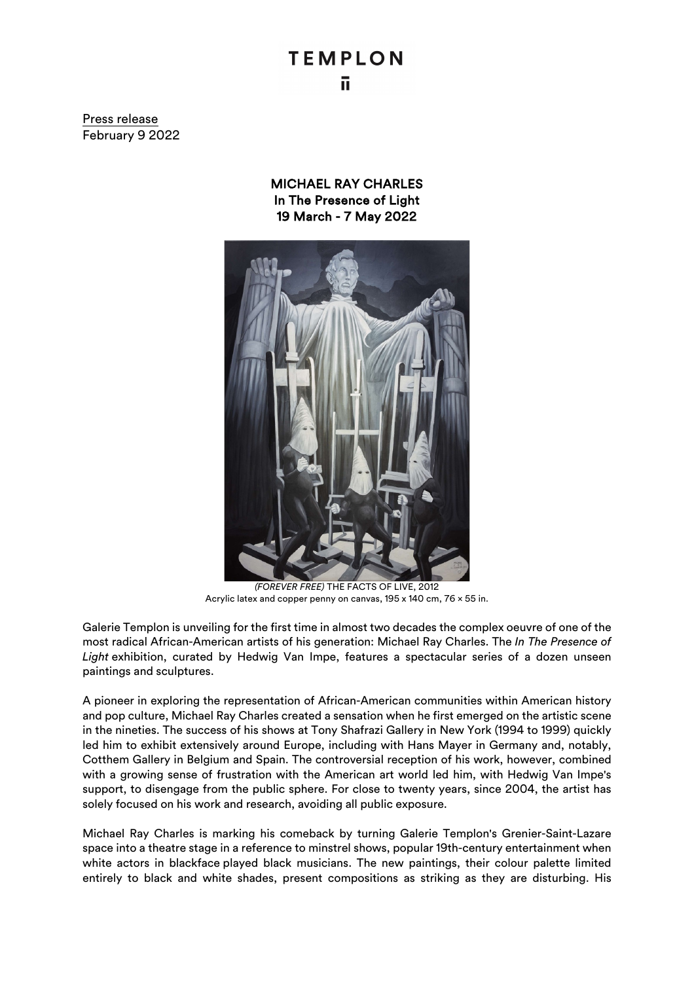## **TEMPLON** ū

Press release February 9 2022

> MICHAEL RAY CHARLES In The Presence of Light 19 March - 7 May 2022



*(FOREVER FREE)* THE FACTS OF LIVE, 2012 Acrylic latex and copper penny on canvas, 195 x 140 cm, 76 × 55 in.

Galerie Templon is unveiling for the first time in almost two decades the complex oeuvre of one of the most radical African-American artists of his generation: Michael Ray Charles. The *In The Presence of Light* exhibition, curated by Hedwig Van Impe, features a spectacular series of a dozen unseen paintings and sculptures.

A pioneer in exploring the representation of African-American communities within American history and pop culture, Michael Ray Charles created a sensation when he first emerged on the artistic scene in the nineties. The success of his shows at Tony Shafrazi Gallery in New York (1994 to 1999) quickly led him to exhibit extensively around Europe, including with Hans Mayer in Germany and, notably, Cotthem Gallery in Belgium and Spain. The controversial reception of his work, however, combined with a growing sense of frustration with the American art world led him, with Hedwig Van Impe's support, to disengage from the public sphere. For close to twenty years, since 2004, the artist has solely focused on his work and research, avoiding all public exposure.

Michael Ray Charles is marking his comeback by turning Galerie Templon's Grenier-Saint-Lazare space into a theatre stage in a reference to minstrel shows, popular 19th-century entertainment when white actors in blackface played black musicians. The new paintings, their colour palette limited entirely to black and white shades, present compositions as striking as they are disturbing. His